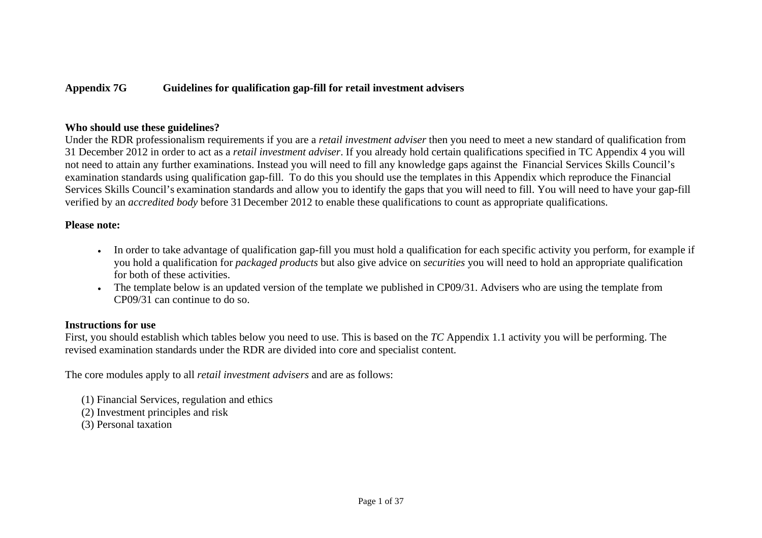### **Appendix 7G Guidelines for qualification gap-fill for retail investment advisers**

### **Who should use these guidelines?**

Under the RDR professionalism requirements if you are a *retail investment adviser* then you need to meet a new standard of qualification from 31 December 2012 in order to act as a *retail investment adviser*. If you already hold certain qualifications specified in TC Appendix 4 you will not need to attain any further examinations. Instead you will need to fill any knowledge gaps against the Financial Services Skills Council's examination standards using qualification gap-fill. To do this you should use the templates in this Appendix which reproduce the Financial Services Skills Council's examination standards and allow you to identify the gaps that you will need to fill. You will need to have your gap-fill verified by an *accredited body* before 31December 2012 to enable these qualifications to count as appropriate qualifications.

#### **Please note:**

- In order to take advantage of qualification gap-fill you must hold a qualification for each specific activity you perform, for example if you hold a qualification for *packaged products* but also give advice on *securities* you will need to hold an appropriate qualification for both of these activities.
- The template below is an updated version of the template we published in CP09/31. Advisers who are using the template from CP09/31 can continue to do so.

### **Instructions for use**

First, you should establish which tables below you need to use. This is based on the *TC* Appendix 1.1 activity you will be performing. The revised examination standards under the RDR are divided into core and specialist content.

The core modules apply to all *retail investment advisers* and are as follows:

- (1) Financial Services, regulation and ethics
- (2) Investment principles and risk
- (3) Personal taxation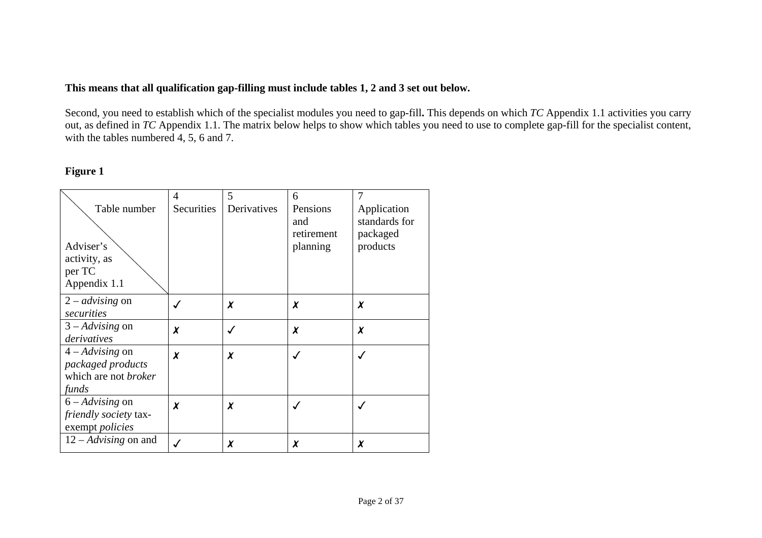### **This means that all qualification gap-filling must include tables 1, 2 and 3 set out below.**

Second, you need to establish which of the specialist modules you need to gap-fill**.** This depends on which *TC* Appendix 1.1 activities you carry out, as defined in *TC* Appendix 1.1. The matrix below helps to show which tables you need to use to complete gap-fill for the specialist content, with the tables numbered 4, 5, 6 and 7.

### **Figure 1**

|                             | 4          | 5           | 6          | 7             |
|-----------------------------|------------|-------------|------------|---------------|
| Table number                | Securities | Derivatives | Pensions   | Application   |
|                             |            |             | and        | standards for |
|                             |            |             | retirement | packaged      |
| Adviser's                   |            |             | planning   | products      |
| activity, as                |            |             |            |               |
| per TC                      |            |             |            |               |
| Appendix 1.1                |            |             |            |               |
| $2 - \textit{advising}$ on  |            | X           | X          | X             |
| securities                  |            |             |            |               |
| $3 - Advising$ on           | X          | ✓           | $\chi$     | X             |
| derivatives                 |            |             |            |               |
| $4 - Advising$ on           | X          | $\chi$      |            |               |
| packaged products           |            |             |            |               |
| which are not <i>broker</i> |            |             |            |               |
| funds                       |            |             |            |               |
| $6 - Advising$ on           | X          | X           |            |               |
| friendly society tax-       |            |             |            |               |
| exempt <i>policies</i>      |            |             |            |               |
| $12 - Advising$ on and      |            | X           | χ          | X             |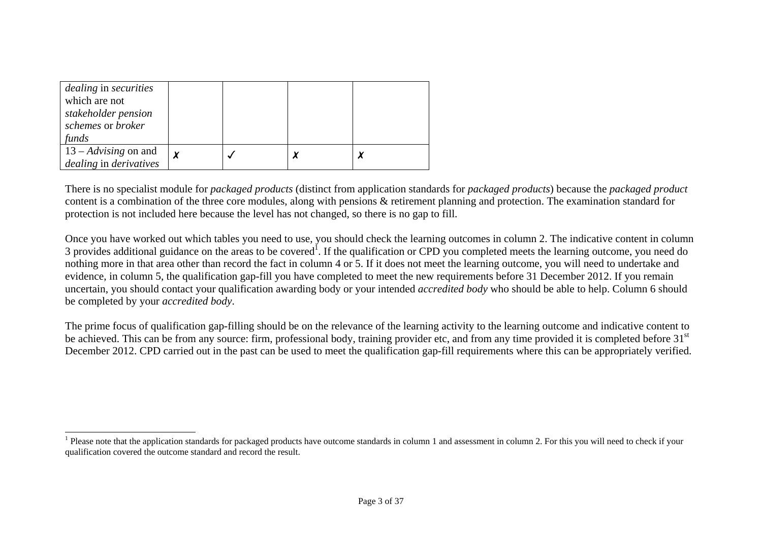| <i>dealing</i> in <i>securities</i><br>which are not<br>stakeholder pension<br>schemes or broker<br>funds |  |  |
|-----------------------------------------------------------------------------------------------------------|--|--|
| $13 - Advising$ on and<br>dealing in derivatives                                                          |  |  |

There is no specialist module for *packaged products* (distinct from application standards for *packaged products*) because the *packaged product* content is a combination of the three core modules, along with pensions & retirement planning and protection. The examination standard for protection is not included here because the level has not changed, so there is no gap to fill.

Once you have worked out which tables you need to use, you should check the learning outcomes in column 2. The indicative content in column 3 provides additional guidance on the areas to be covered<sup>1</sup>. If the qualification or CPD you completed meets the learning outcome, you need do nothing more in that area other than record the fact in column 4 or 5. If it does not meet the learning outcome, you will need to undertake and evidence, in column 5, the qualification gap-fill you have completed to meet the new requirements before 31 December 2012. If you remain uncertain, you should contact your qualification awarding body or your intended *accredited body* who should be able to help. Column 6 should be completed by your *accredited body*.

The prime focus of qualification gap-filling should be on the relevance of the learning activity to the learning outcome and indicative content to be achieved. This can be from any source: firm, professional body, training provider etc, and from any time provided it is completed before 31<sup>st</sup> December 2012. CPD carried out in the past can be used to meet the qualification gap-fill requirements where this can be appropriately verified.

<sup>&</sup>lt;sup>1</sup> Please note that the application standards for packaged products have outcome standards in column 1 and assessment in column 2. For this you will need to check if your qualification covered the outcome standard and record the result.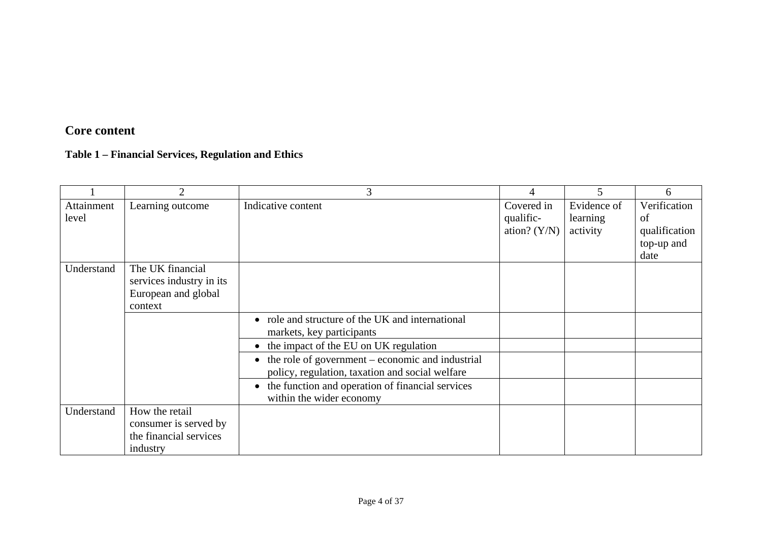# **Core content**

# **Table 1 – Financial Services, Regulation and Ethics**

|                     | $\overline{2}$                                                                 | 3                                                                                                             |                                           | 5                                   | 6                                                         |
|---------------------|--------------------------------------------------------------------------------|---------------------------------------------------------------------------------------------------------------|-------------------------------------------|-------------------------------------|-----------------------------------------------------------|
| Attainment<br>level | Learning outcome                                                               | Indicative content                                                                                            | Covered in<br>qualific-<br>ation? $(Y/N)$ | Evidence of<br>learning<br>activity | Verification<br>of<br>qualification<br>top-up and<br>date |
| Understand          | The UK financial<br>services industry in its<br>European and global<br>context |                                                                                                               |                                           |                                     |                                                           |
|                     |                                                                                | • role and structure of the UK and international<br>markets, key participants                                 |                                           |                                     |                                                           |
|                     |                                                                                | • the impact of the EU on UK regulation                                                                       |                                           |                                     |                                                           |
|                     |                                                                                | $\bullet$ the role of government – economic and industrial<br>policy, regulation, taxation and social welfare |                                           |                                     |                                                           |
|                     |                                                                                | • the function and operation of financial services<br>within the wider economy                                |                                           |                                     |                                                           |
| Understand          | How the retail                                                                 |                                                                                                               |                                           |                                     |                                                           |
|                     | consumer is served by                                                          |                                                                                                               |                                           |                                     |                                                           |
|                     | the financial services                                                         |                                                                                                               |                                           |                                     |                                                           |
|                     | industry                                                                       |                                                                                                               |                                           |                                     |                                                           |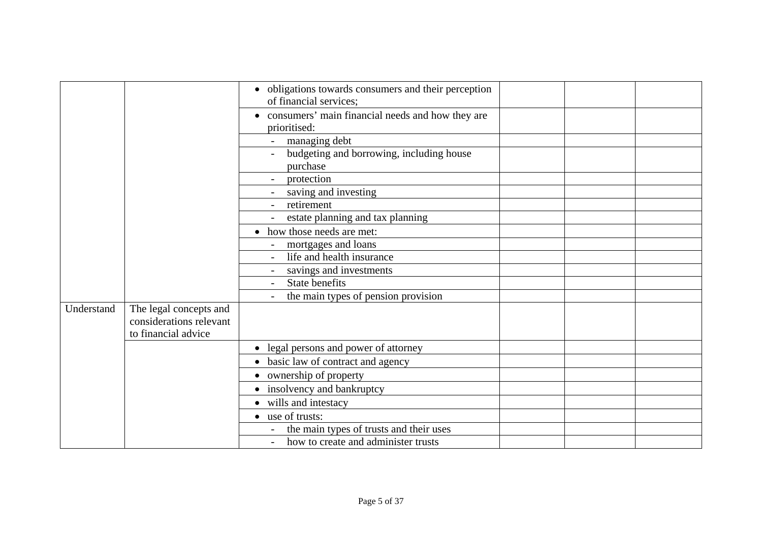|            |                         | • obligations towards consumers and their perception |  |  |
|------------|-------------------------|------------------------------------------------------|--|--|
|            |                         | of financial services;                               |  |  |
|            |                         | • consumers' main financial needs and how they are   |  |  |
|            |                         | prioritised:                                         |  |  |
|            |                         | managing debt                                        |  |  |
|            |                         | budgeting and borrowing, including house             |  |  |
|            |                         | purchase                                             |  |  |
|            |                         | protection                                           |  |  |
|            |                         | saving and investing                                 |  |  |
|            |                         | retirement                                           |  |  |
|            |                         | estate planning and tax planning                     |  |  |
|            |                         | • how those needs are met:                           |  |  |
|            |                         | mortgages and loans                                  |  |  |
|            |                         | life and health insurance                            |  |  |
|            |                         | savings and investments                              |  |  |
|            |                         | State benefits                                       |  |  |
|            |                         | the main types of pension provision                  |  |  |
| Understand | The legal concepts and  |                                                      |  |  |
|            | considerations relevant |                                                      |  |  |
|            | to financial advice     |                                                      |  |  |
|            |                         | • legal persons and power of attorney                |  |  |
|            |                         | • basic law of contract and agency                   |  |  |
|            |                         | • ownership of property                              |  |  |
|            |                         | • insolvency and bankruptcy                          |  |  |
|            |                         | • wills and intestacy                                |  |  |
|            |                         | • use of trusts:                                     |  |  |
|            |                         | the main types of trusts and their uses              |  |  |
|            |                         | how to create and administer trusts                  |  |  |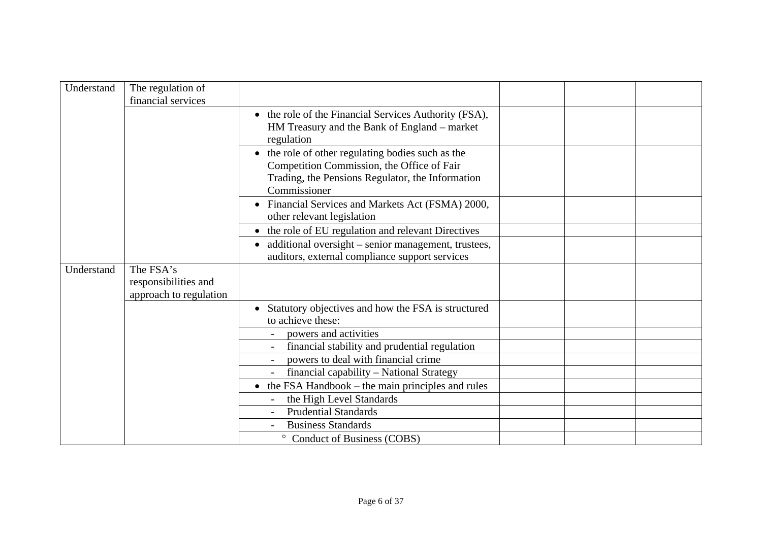| Understand | The regulation of                                           |                                                                                                                                                                   |  |  |
|------------|-------------------------------------------------------------|-------------------------------------------------------------------------------------------------------------------------------------------------------------------|--|--|
|            | financial services                                          |                                                                                                                                                                   |  |  |
|            |                                                             | the role of the Financial Services Authority (FSA),<br>HM Treasury and the Bank of England - market<br>regulation                                                 |  |  |
|            |                                                             | the role of other regulating bodies such as the<br>Competition Commission, the Office of Fair<br>Trading, the Pensions Regulator, the Information<br>Commissioner |  |  |
|            |                                                             | • Financial Services and Markets Act (FSMA) 2000,<br>other relevant legislation                                                                                   |  |  |
|            |                                                             | • the role of EU regulation and relevant Directives                                                                                                               |  |  |
|            |                                                             | • additional oversight – senior management, trustees,<br>auditors, external compliance support services                                                           |  |  |
| Understand | The FSA's<br>responsibilities and<br>approach to regulation |                                                                                                                                                                   |  |  |
|            |                                                             | Statutory objectives and how the FSA is structured<br>$\bullet$<br>to achieve these:                                                                              |  |  |
|            |                                                             | powers and activities                                                                                                                                             |  |  |
|            |                                                             | financial stability and prudential regulation                                                                                                                     |  |  |
|            |                                                             | powers to deal with financial crime                                                                                                                               |  |  |
|            |                                                             | financial capability - National Strategy                                                                                                                          |  |  |
|            |                                                             | $\bullet$ the FSA Handbook – the main principles and rules                                                                                                        |  |  |
|            |                                                             | the High Level Standards                                                                                                                                          |  |  |
|            |                                                             | <b>Prudential Standards</b>                                                                                                                                       |  |  |
|            |                                                             | <b>Business Standards</b>                                                                                                                                         |  |  |
|            |                                                             | Conduct of Business (COBS)<br>$\circ$                                                                                                                             |  |  |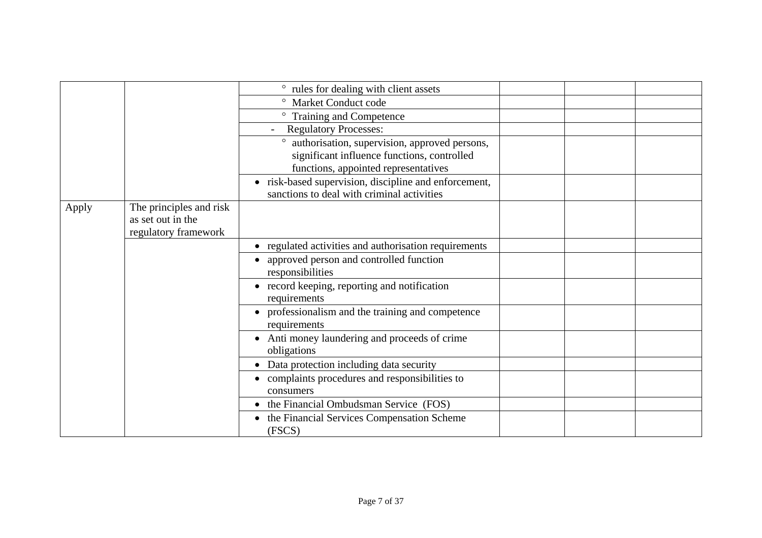|       |                                                                      | ° rules for dealing with client assets                                                                                               |  |
|-------|----------------------------------------------------------------------|--------------------------------------------------------------------------------------------------------------------------------------|--|
|       |                                                                      | <sup>o</sup> Market Conduct code                                                                                                     |  |
|       |                                                                      | ° Training and Competence                                                                                                            |  |
|       |                                                                      | <b>Regulatory Processes:</b>                                                                                                         |  |
|       |                                                                      | authorisation, supervision, approved persons,<br>significant influence functions, controlled<br>functions, appointed representatives |  |
|       |                                                                      | • risk-based supervision, discipline and enforcement,<br>sanctions to deal with criminal activities                                  |  |
| Apply | The principles and risk<br>as set out in the<br>regulatory framework |                                                                                                                                      |  |
|       |                                                                      | • regulated activities and authorisation requirements                                                                                |  |
|       |                                                                      | • approved person and controlled function<br>responsibilities                                                                        |  |
|       |                                                                      | • record keeping, reporting and notification<br>requirements                                                                         |  |
|       |                                                                      | • professionalism and the training and competence<br>requirements                                                                    |  |
|       |                                                                      | • Anti money laundering and proceeds of crime<br>obligations                                                                         |  |
|       |                                                                      | • Data protection including data security                                                                                            |  |
|       |                                                                      | • complaints procedures and responsibilities to                                                                                      |  |
|       |                                                                      | consumers<br>• the Financial Ombudsman Service (FOS)                                                                                 |  |
|       |                                                                      |                                                                                                                                      |  |
|       |                                                                      | • the Financial Services Compensation Scheme<br>(FSCS)                                                                               |  |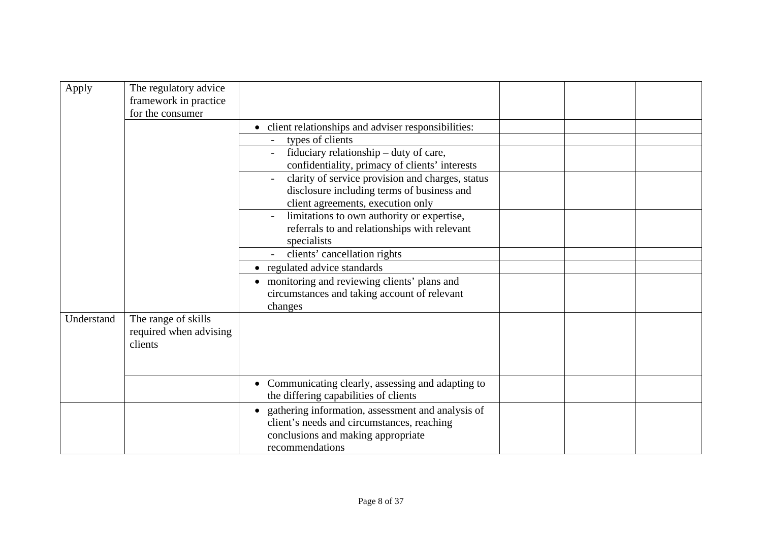| Apply      | The regulatory advice<br>framework in practice<br>for the consumer |                                                                                                                                                          |  |
|------------|--------------------------------------------------------------------|----------------------------------------------------------------------------------------------------------------------------------------------------------|--|
|            |                                                                    | • client relationships and adviser responsibilities:                                                                                                     |  |
|            |                                                                    | types of clients                                                                                                                                         |  |
|            |                                                                    | fiduciary relationship – duty of care,                                                                                                                   |  |
|            |                                                                    | confidentiality, primacy of clients' interests                                                                                                           |  |
|            |                                                                    | clarity of service provision and charges, status<br>disclosure including terms of business and                                                           |  |
|            |                                                                    | client agreements, execution only                                                                                                                        |  |
|            |                                                                    | limitations to own authority or expertise,                                                                                                               |  |
|            |                                                                    | referrals to and relationships with relevant                                                                                                             |  |
|            |                                                                    | specialists                                                                                                                                              |  |
|            |                                                                    | clients' cancellation rights                                                                                                                             |  |
|            |                                                                    | • regulated advice standards                                                                                                                             |  |
|            |                                                                    | • monitoring and reviewing clients' plans and                                                                                                            |  |
|            |                                                                    | circumstances and taking account of relevant<br>changes                                                                                                  |  |
| Understand | The range of skills<br>required when advising<br>clients           |                                                                                                                                                          |  |
|            |                                                                    | • Communicating clearly, assessing and adapting to<br>the differing capabilities of clients                                                              |  |
|            |                                                                    | gathering information, assessment and analysis of<br>client's needs and circumstances, reaching<br>conclusions and making appropriate<br>recommendations |  |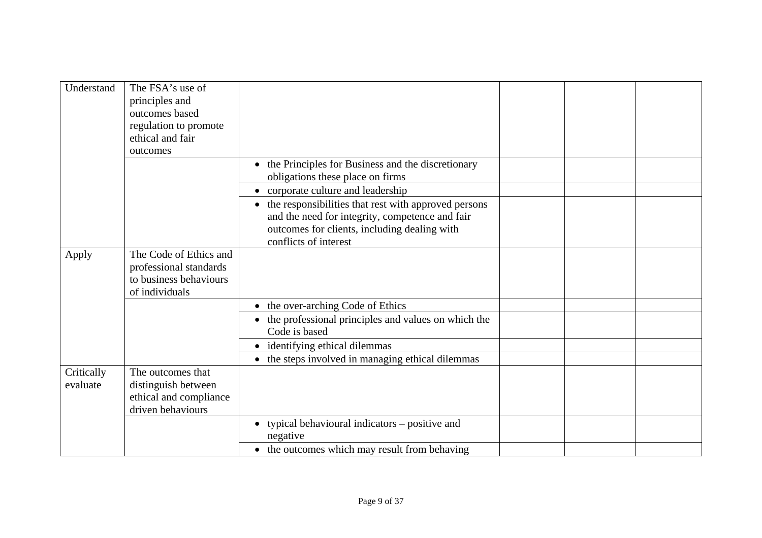| Understand             | The FSA's use of<br>principles and<br>outcomes based<br>regulation to promote                |                                                                                                                                                           |  |  |
|------------------------|----------------------------------------------------------------------------------------------|-----------------------------------------------------------------------------------------------------------------------------------------------------------|--|--|
|                        | ethical and fair<br>outcomes                                                                 |                                                                                                                                                           |  |  |
|                        |                                                                                              | • the Principles for Business and the discretionary<br>obligations these place on firms                                                                   |  |  |
|                        |                                                                                              | • corporate culture and leadership                                                                                                                        |  |  |
|                        |                                                                                              | • the responsibilities that rest with approved persons<br>and the need for integrity, competence and fair<br>outcomes for clients, including dealing with |  |  |
|                        |                                                                                              | conflicts of interest                                                                                                                                     |  |  |
| Apply                  | The Code of Ethics and<br>professional standards<br>to business behaviours<br>of individuals |                                                                                                                                                           |  |  |
|                        |                                                                                              | • the over-arching Code of Ethics                                                                                                                         |  |  |
|                        |                                                                                              | the professional principles and values on which the<br>$\bullet$<br>Code is based                                                                         |  |  |
|                        |                                                                                              | • identifying ethical dilemmas                                                                                                                            |  |  |
|                        |                                                                                              | • the steps involved in managing ethical dilemmas                                                                                                         |  |  |
| Critically<br>evaluate | The outcomes that<br>distinguish between<br>ethical and compliance<br>driven behaviours      |                                                                                                                                                           |  |  |
|                        |                                                                                              | typical behavioural indicators – positive and<br>negative                                                                                                 |  |  |
|                        |                                                                                              | • the outcomes which may result from behaving                                                                                                             |  |  |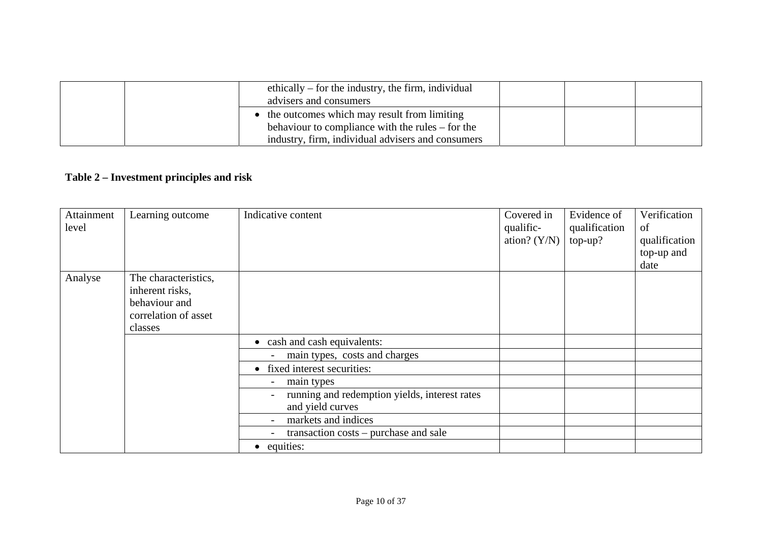| ethically $-$ for the industry, the firm, individual<br>advisers and consumers |  |  |
|--------------------------------------------------------------------------------|--|--|
| • the outcomes which may result from limiting                                  |  |  |
| behaviour to compliance with the rules – for the                               |  |  |
| industry, firm, individual advisers and consumers                              |  |  |

# **Table 2 – Investment principles and risk**

| Attainment<br>level | Learning outcome                                                                            | Indicative content                                                | Covered in<br>qualific-<br>ation? $(Y/N)$ | Evidence of<br>qualification<br>$top-up?$ | Verification<br>of<br>qualification<br>top-up and<br>date |
|---------------------|---------------------------------------------------------------------------------------------|-------------------------------------------------------------------|-------------------------------------------|-------------------------------------------|-----------------------------------------------------------|
| Analyse             | The characteristics,<br>inherent risks,<br>behaviour and<br>correlation of asset<br>classes |                                                                   |                                           |                                           |                                                           |
|                     |                                                                                             | • cash and cash equivalents:                                      |                                           |                                           |                                                           |
|                     |                                                                                             | main types, costs and charges                                     |                                           |                                           |                                                           |
|                     |                                                                                             | • fixed interest securities:                                      |                                           |                                           |                                                           |
|                     |                                                                                             | main types                                                        |                                           |                                           |                                                           |
|                     |                                                                                             | running and redemption yields, interest rates<br>and yield curves |                                           |                                           |                                                           |
|                     |                                                                                             | markets and indices                                               |                                           |                                           |                                                           |
|                     |                                                                                             | transaction costs – purchase and sale                             |                                           |                                           |                                                           |
|                     |                                                                                             | • equities:                                                       |                                           |                                           |                                                           |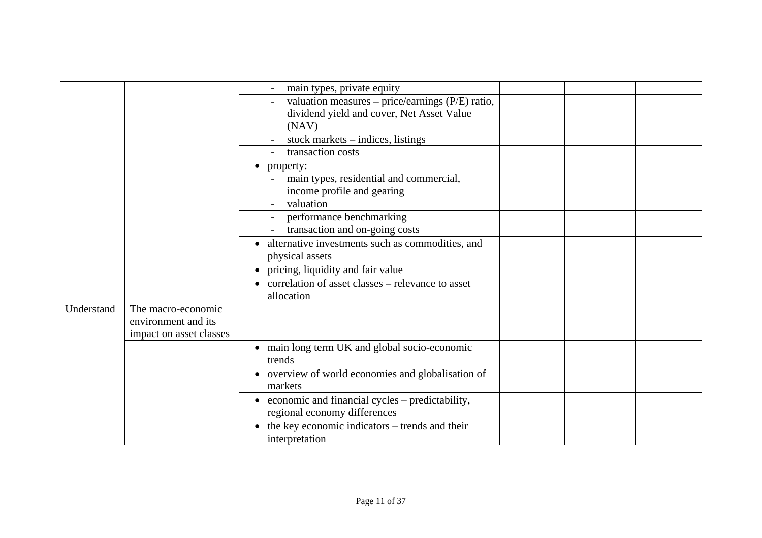|            |                                                                      | main types, private equity                                                                             |  |  |
|------------|----------------------------------------------------------------------|--------------------------------------------------------------------------------------------------------|--|--|
|            |                                                                      | valuation measures – price/earnings (P/E) ratio,<br>dividend yield and cover, Net Asset Value<br>(NAV) |  |  |
|            |                                                                      | stock markets $-$ indices, listings                                                                    |  |  |
|            |                                                                      | transaction costs                                                                                      |  |  |
|            |                                                                      | property:<br>$\bullet$                                                                                 |  |  |
|            |                                                                      | main types, residential and commercial,<br>income profile and gearing                                  |  |  |
|            |                                                                      | valuation                                                                                              |  |  |
|            |                                                                      | performance benchmarking                                                                               |  |  |
|            |                                                                      | transaction and on-going costs                                                                         |  |  |
|            |                                                                      | alternative investments such as commodities, and<br>$\bullet$                                          |  |  |
|            |                                                                      | physical assets                                                                                        |  |  |
|            |                                                                      | • pricing, liquidity and fair value                                                                    |  |  |
|            |                                                                      | • correlation of asset classes – relevance to asset<br>allocation                                      |  |  |
| Understand | The macro-economic<br>environment and its<br>impact on asset classes |                                                                                                        |  |  |
|            |                                                                      | • main long term UK and global socio-economic<br>trends                                                |  |  |
|            |                                                                      | • overview of world economies and globalisation of<br>markets                                          |  |  |
|            |                                                                      | $\bullet$ economic and financial cycles – predictability,<br>regional economy differences              |  |  |
|            |                                                                      | $\bullet$ the key economic indicators – trends and their<br>interpretation                             |  |  |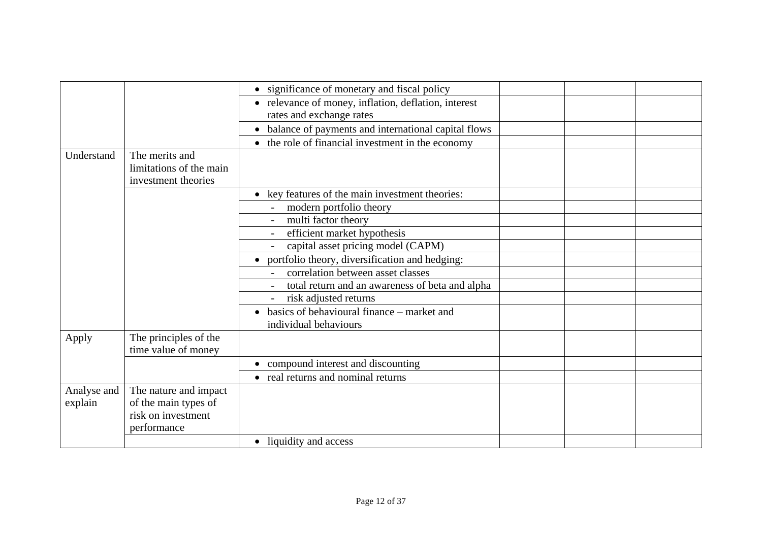|             |                         | • significance of monetary and fiscal policy               |  |
|-------------|-------------------------|------------------------------------------------------------|--|
|             |                         | • relevance of money, inflation, deflation, interest       |  |
|             |                         | rates and exchange rates                                   |  |
|             |                         | • balance of payments and international capital flows      |  |
|             |                         | the role of financial investment in the economy            |  |
| Understand  | The merits and          |                                                            |  |
|             | limitations of the main |                                                            |  |
|             | investment theories     |                                                            |  |
|             |                         | key features of the main investment theories:<br>$\bullet$ |  |
|             |                         | modern portfolio theory                                    |  |
|             |                         | multi factor theory                                        |  |
|             |                         | efficient market hypothesis                                |  |
|             |                         | capital asset pricing model (CAPM)                         |  |
|             |                         | portfolio theory, diversification and hedging:             |  |
|             |                         | correlation between asset classes                          |  |
|             |                         | total return and an awareness of beta and alpha            |  |
|             |                         | risk adjusted returns                                      |  |
|             |                         | basics of behavioural finance – market and                 |  |
|             |                         | individual behaviours                                      |  |
| Apply       | The principles of the   |                                                            |  |
|             | time value of money     |                                                            |  |
|             |                         | • compound interest and discounting                        |  |
|             |                         | • real returns and nominal returns                         |  |
| Analyse and | The nature and impact   |                                                            |  |
| explain     | of the main types of    |                                                            |  |
|             | risk on investment      |                                                            |  |
|             | performance             |                                                            |  |
|             |                         | • liquidity and access                                     |  |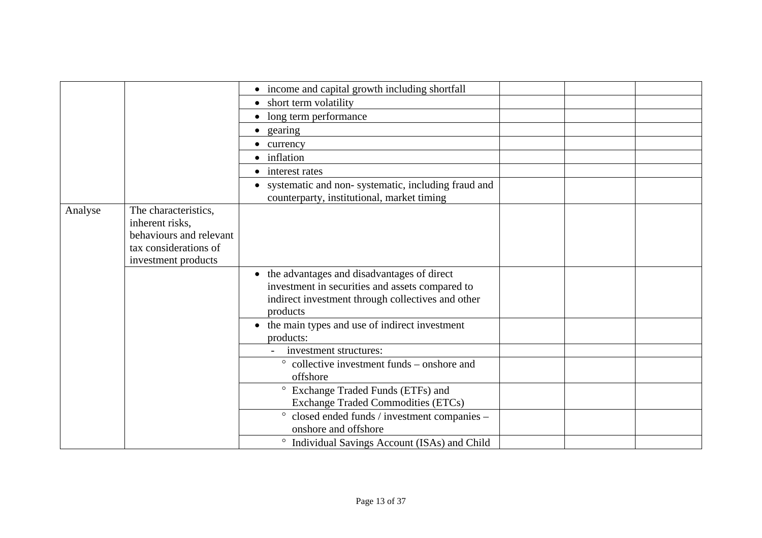|         |                                                  | • income and capital growth including shortfall        |  |
|---------|--------------------------------------------------|--------------------------------------------------------|--|
|         |                                                  | short term volatility<br>$\bullet$                     |  |
|         |                                                  | • long term performance                                |  |
|         |                                                  | gearing<br>$\bullet$                                   |  |
|         |                                                  | • currency                                             |  |
|         |                                                  | • inflation                                            |  |
|         |                                                  | • interest rates                                       |  |
|         |                                                  | • systematic and non-systematic, including fraud and   |  |
|         |                                                  | counterparty, institutional, market timing             |  |
| Analyse | The characteristics,                             |                                                        |  |
|         | inherent risks,                                  |                                                        |  |
|         | behaviours and relevant<br>tax considerations of |                                                        |  |
|         | investment products                              |                                                        |  |
|         |                                                  | • the advantages and disadvantages of direct           |  |
|         |                                                  | investment in securities and assets compared to        |  |
|         |                                                  | indirect investment through collectives and other      |  |
|         |                                                  | products                                               |  |
|         |                                                  | • the main types and use of indirect investment        |  |
|         |                                                  | products:                                              |  |
|         |                                                  | investment structures:                                 |  |
|         |                                                  | collective investment funds – onshore and              |  |
|         |                                                  | offshore                                               |  |
|         |                                                  | Exchange Traded Funds (ETFs) and<br>$\circ$            |  |
|         |                                                  | <b>Exchange Traded Commodities (ETCs)</b>              |  |
|         |                                                  | closed ended funds / investment companies -<br>$\circ$ |  |
|         |                                                  | onshore and offshore                                   |  |
|         |                                                  | Individual Savings Account (ISAs) and Child            |  |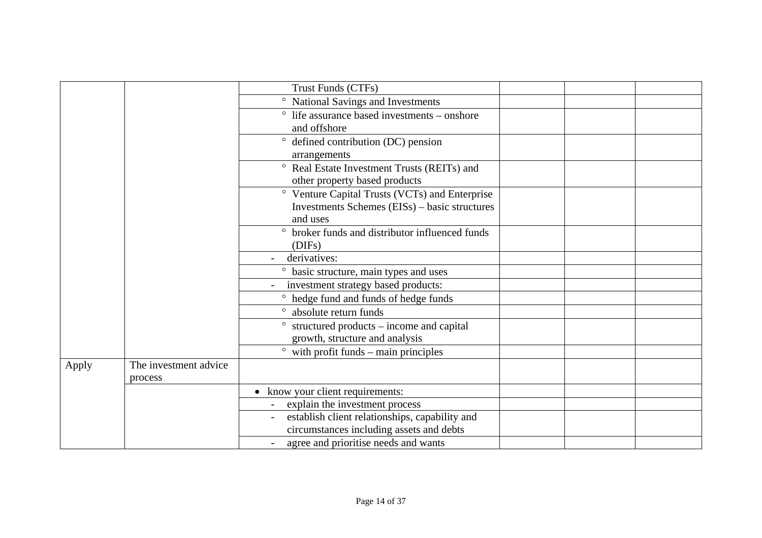|       |                       | Trust Funds (CTFs)                                       |  |
|-------|-----------------------|----------------------------------------------------------|--|
|       |                       | National Savings and Investments<br>$\circ$              |  |
|       |                       | $\degree$ life assurance based investments – onshore     |  |
|       |                       | and offshore                                             |  |
|       |                       | $\circ$<br>defined contribution (DC) pension             |  |
|       |                       | arrangements                                             |  |
|       |                       | ° Real Estate Investment Trusts (REITs) and              |  |
|       |                       | other property based products                            |  |
|       |                       | Venture Capital Trusts (VCTs) and Enterprise<br>$\circ$  |  |
|       |                       | Investments Schemes (EISs) – basic structures            |  |
|       |                       | and uses                                                 |  |
|       |                       | broker funds and distributor influenced funds<br>$\circ$ |  |
|       |                       | (DIFs)                                                   |  |
|       |                       | derivatives:                                             |  |
|       |                       | basic structure, main types and uses<br>$\circ$          |  |
|       |                       | investment strategy based products:                      |  |
|       |                       | ° hedge fund and funds of hedge funds                    |  |
|       |                       | absolute return funds                                    |  |
|       |                       | structured products – income and capital                 |  |
|       |                       | growth, structure and analysis                           |  |
|       |                       | with profit funds $-$ main principles                    |  |
| Apply | The investment advice |                                                          |  |
|       | process               |                                                          |  |
|       |                       | • know your client requirements:                         |  |
|       |                       | explain the investment process                           |  |
|       |                       | establish client relationships, capability and           |  |
|       |                       | circumstances including assets and debts                 |  |
|       |                       | agree and prioritise needs and wants                     |  |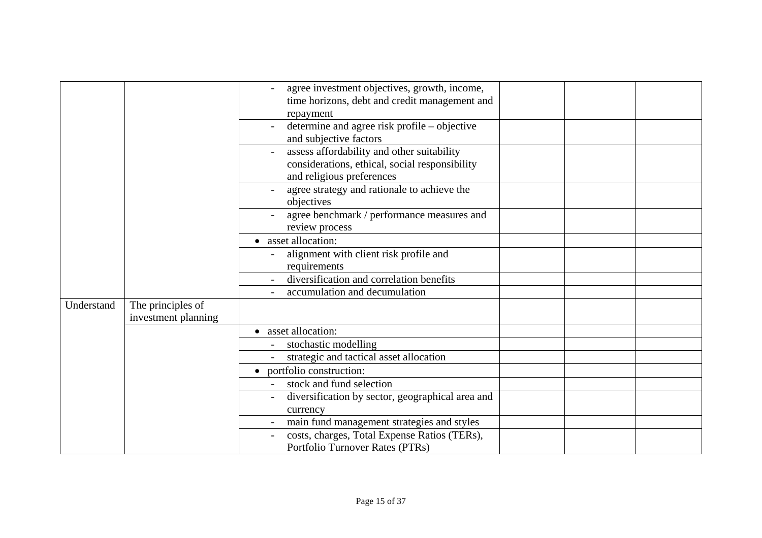|            |                                          | agree investment objectives, growth, income,<br>time horizons, debt and credit management and<br>repayment                |  |  |
|------------|------------------------------------------|---------------------------------------------------------------------------------------------------------------------------|--|--|
|            |                                          | determine and agree risk profile – objective<br>and subjective factors                                                    |  |  |
|            |                                          | assess affordability and other suitability<br>considerations, ethical, social responsibility<br>and religious preferences |  |  |
|            |                                          | agree strategy and rationale to achieve the<br>objectives                                                                 |  |  |
|            |                                          | agree benchmark / performance measures and<br>review process                                                              |  |  |
|            |                                          | • asset allocation:                                                                                                       |  |  |
|            |                                          | alignment with client risk profile and                                                                                    |  |  |
|            |                                          | requirements                                                                                                              |  |  |
|            |                                          | diversification and correlation benefits                                                                                  |  |  |
|            |                                          | accumulation and decumulation                                                                                             |  |  |
| Understand | The principles of<br>investment planning |                                                                                                                           |  |  |
|            |                                          | asset allocation:<br>$\bullet$                                                                                            |  |  |
|            |                                          | stochastic modelling                                                                                                      |  |  |
|            |                                          | strategic and tactical asset allocation                                                                                   |  |  |
|            |                                          | portfolio construction:<br>$\bullet$                                                                                      |  |  |
|            |                                          | stock and fund selection                                                                                                  |  |  |
|            |                                          | diversification by sector, geographical area and<br>currency                                                              |  |  |
|            |                                          | main fund management strategies and styles                                                                                |  |  |
|            |                                          | costs, charges, Total Expense Ratios (TERs),                                                                              |  |  |
|            |                                          | Portfolio Turnover Rates (PTRs)                                                                                           |  |  |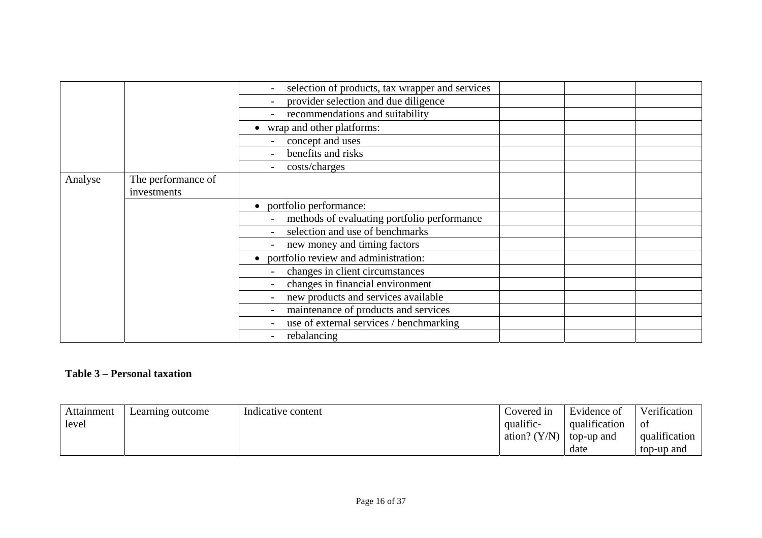|         |                    | selection of products, tax wrapper and services   |  |
|---------|--------------------|---------------------------------------------------|--|
|         |                    | provider selection and due diligence              |  |
|         |                    | recommendations and suitability                   |  |
|         |                    | wrap and other platforms:                         |  |
|         |                    | concept and uses                                  |  |
|         |                    | benefits and risks                                |  |
|         |                    | costs/charges                                     |  |
| Analyse | The performance of |                                                   |  |
|         | investments        |                                                   |  |
|         |                    | portfolio performance:                            |  |
|         |                    | methods of evaluating portfolio performance       |  |
|         |                    | selection and use of benchmarks                   |  |
|         |                    | new money and timing factors                      |  |
|         |                    | portfolio review and administration:<br>$\bullet$ |  |
|         |                    | changes in client circumstances<br>$\blacksquare$ |  |
|         |                    | changes in financial environment                  |  |
|         |                    | new products and services available               |  |
|         |                    | maintenance of products and services              |  |
|         |                    | use of external services / benchmarking           |  |
|         |                    | rebalancing                                       |  |

#### **Table 3 – Personal taxation**

| Attainment | Learning outcome | Indicative content | Covered in     | Evidence of   | Verification  |
|------------|------------------|--------------------|----------------|---------------|---------------|
| level      |                  |                    | qualific-      | qualification | Οf            |
|            |                  |                    | ation? $(Y/N)$ | top-up and    | qualification |
|            |                  |                    |                | date          | top-up and    |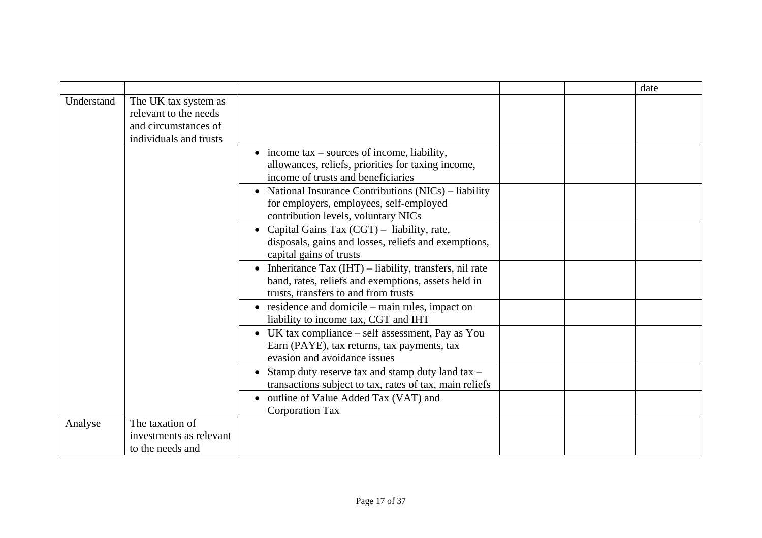|            |                                                                                                 |                                                                                                                                                           |  | date |
|------------|-------------------------------------------------------------------------------------------------|-----------------------------------------------------------------------------------------------------------------------------------------------------------|--|------|
| Understand | The UK tax system as<br>relevant to the needs<br>and circumstances of<br>individuals and trusts |                                                                                                                                                           |  |      |
|            |                                                                                                 | $\bullet$ income tax – sources of income, liability,<br>allowances, reliefs, priorities for taxing income,<br>income of trusts and beneficiaries          |  |      |
|            |                                                                                                 | • National Insurance Contributions (NICs) – liability<br>for employers, employees, self-employed<br>contribution levels, voluntary NICs                   |  |      |
|            |                                                                                                 | • Capital Gains Tax $(CGT)$ – liability, rate,<br>disposals, gains and losses, reliefs and exemptions,<br>capital gains of trusts                         |  |      |
|            |                                                                                                 | • Inheritance Tax $(IHT)$ – liability, transfers, nil rate<br>band, rates, reliefs and exemptions, assets held in<br>trusts, transfers to and from trusts |  |      |
|            |                                                                                                 | $\bullet$ residence and domicile – main rules, impact on<br>liability to income tax, CGT and IHT                                                          |  |      |
|            |                                                                                                 | • UK tax compliance $-$ self assessment, Pay as You<br>Earn (PAYE), tax returns, tax payments, tax<br>evasion and avoidance issues                        |  |      |
|            |                                                                                                 | • Stamp duty reserve tax and stamp duty land tax -<br>transactions subject to tax, rates of tax, main reliefs                                             |  |      |
|            |                                                                                                 | • outline of Value Added Tax (VAT) and<br><b>Corporation Tax</b>                                                                                          |  |      |
| Analyse    | The taxation of<br>investments as relevant<br>to the needs and                                  |                                                                                                                                                           |  |      |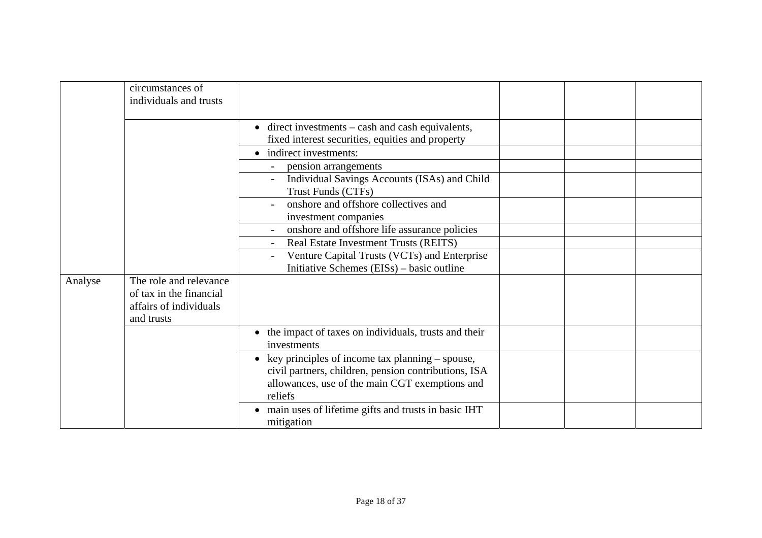|         | circumstances of<br>individuals and trusts                                                |                                                                                                                                                                        |  |  |
|---------|-------------------------------------------------------------------------------------------|------------------------------------------------------------------------------------------------------------------------------------------------------------------------|--|--|
|         |                                                                                           | $\bullet$ direct investments – cash and cash equivalents,<br>fixed interest securities, equities and property<br>• indirect investments:                               |  |  |
|         |                                                                                           | pension arrangements<br>Individual Savings Accounts (ISAs) and Child<br>Trust Funds (CTFs)                                                                             |  |  |
|         |                                                                                           | onshore and offshore collectives and<br>investment companies                                                                                                           |  |  |
|         |                                                                                           | onshore and offshore life assurance policies<br>Real Estate Investment Trusts (REITS)<br>Venture Capital Trusts (VCTs) and Enterprise                                  |  |  |
|         |                                                                                           | Initiative Schemes (EISs) – basic outline                                                                                                                              |  |  |
| Analyse | The role and relevance<br>of tax in the financial<br>affairs of individuals<br>and trusts |                                                                                                                                                                        |  |  |
|         |                                                                                           | • the impact of taxes on individuals, trusts and their<br>investments                                                                                                  |  |  |
|         |                                                                                           | • key principles of income tax planning – spouse,<br>civil partners, children, pension contributions, ISA<br>allowances, use of the main CGT exemptions and<br>reliefs |  |  |
|         |                                                                                           | • main uses of lifetime gifts and trusts in basic IHT<br>mitigation                                                                                                    |  |  |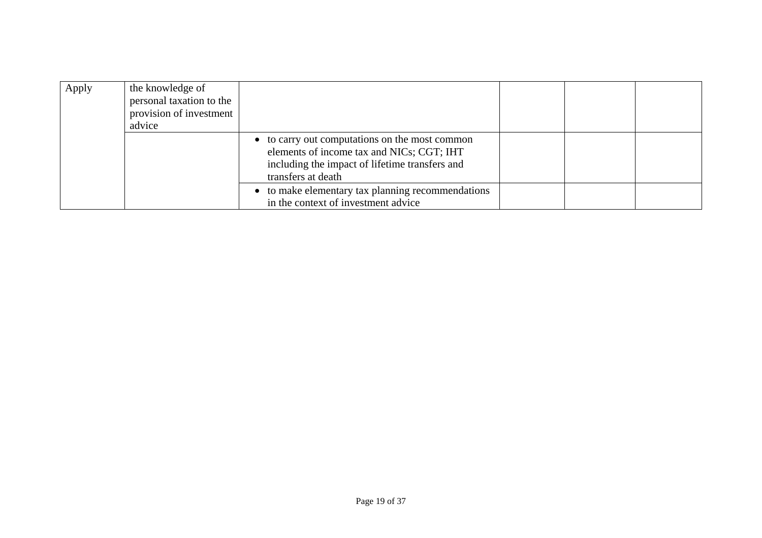| Apply | the knowledge of<br>personal taxation to the<br>provision of investment<br>advice |                                                                                                                                                                     |  |  |
|-------|-----------------------------------------------------------------------------------|---------------------------------------------------------------------------------------------------------------------------------------------------------------------|--|--|
|       |                                                                                   | • to carry out computations on the most common<br>elements of income tax and NICs; CGT; IHT<br>including the impact of lifetime transfers and<br>transfers at death |  |  |
|       |                                                                                   | to make elementary tax planning recommendations<br>in the context of investment advice                                                                              |  |  |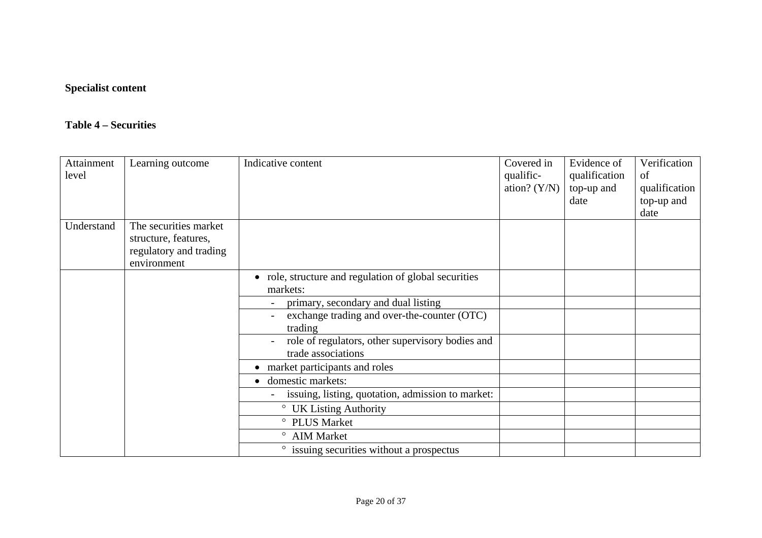## **Specialist content**

#### **Table 4 – Securities**

| Attainment<br>level | Learning outcome                                                                       | Indicative content                                                     | Covered in<br>qualific-<br>ation? $(Y/N)$ | Evidence of<br>qualification<br>top-up and<br>date | Verification<br>of<br>qualification<br>top-up and<br>date |
|---------------------|----------------------------------------------------------------------------------------|------------------------------------------------------------------------|-------------------------------------------|----------------------------------------------------|-----------------------------------------------------------|
| Understand          | The securities market<br>structure, features,<br>regulatory and trading<br>environment |                                                                        |                                           |                                                    |                                                           |
|                     |                                                                                        | • role, structure and regulation of global securities<br>markets:      |                                           |                                                    |                                                           |
|                     |                                                                                        | primary, secondary and dual listing                                    |                                           |                                                    |                                                           |
|                     |                                                                                        | exchange trading and over-the-counter (OTC)<br>trading                 |                                           |                                                    |                                                           |
|                     |                                                                                        | role of regulators, other supervisory bodies and<br>trade associations |                                           |                                                    |                                                           |
|                     |                                                                                        | • market participants and roles                                        |                                           |                                                    |                                                           |
|                     |                                                                                        | domestic markets:                                                      |                                           |                                                    |                                                           |
|                     |                                                                                        | issuing, listing, quotation, admission to market:                      |                                           |                                                    |                                                           |
|                     |                                                                                        | <sup>o</sup> UK Listing Authority                                      |                                           |                                                    |                                                           |
|                     |                                                                                        | ° PLUS Market                                                          |                                           |                                                    |                                                           |
|                     |                                                                                        | ° AIM Market                                                           |                                           |                                                    |                                                           |
|                     |                                                                                        | • issuing securities without a prospectus                              |                                           |                                                    |                                                           |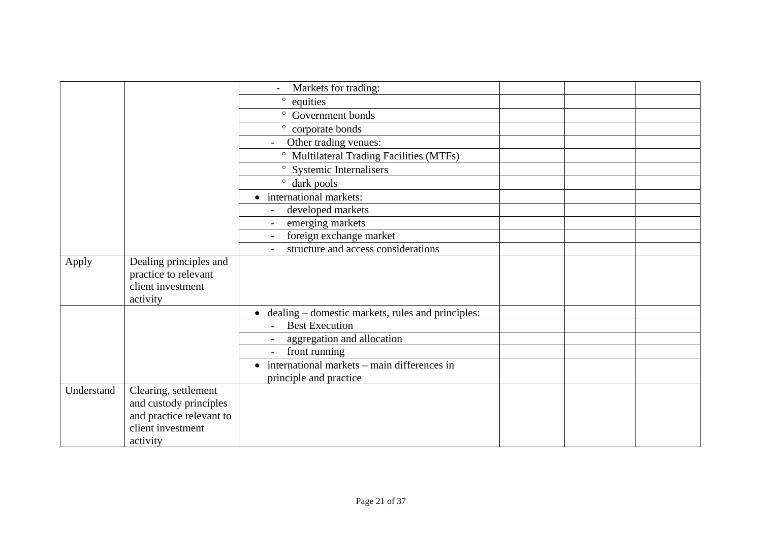|            |                          | Markets for trading:                                     |  |  |
|------------|--------------------------|----------------------------------------------------------|--|--|
|            |                          | $\circ$<br>equities                                      |  |  |
|            |                          | ° Government bonds                                       |  |  |
|            |                          | corporate bonds<br>$\circ$                               |  |  |
|            |                          | Other trading venues:<br>$\sim$                          |  |  |
|            |                          | <sup>o</sup> Multilateral Trading Facilities (MTFs)      |  |  |
|            |                          | ° Systemic Internalisers                                 |  |  |
|            |                          | $\degree$ dark pools                                     |  |  |
|            |                          | • international markets:                                 |  |  |
|            |                          | developed markets                                        |  |  |
|            |                          | emerging markets<br>$\sim$                               |  |  |
|            |                          | foreign exchange market                                  |  |  |
|            |                          | structure and access considerations                      |  |  |
| Apply      | Dealing principles and   |                                                          |  |  |
|            | practice to relevant     |                                                          |  |  |
|            | client investment        |                                                          |  |  |
|            | activity                 |                                                          |  |  |
|            |                          | • dealing – domestic markets, rules and principles:      |  |  |
|            |                          | <b>Best Execution</b>                                    |  |  |
|            |                          | aggregation and allocation                               |  |  |
|            |                          | front running                                            |  |  |
|            |                          | international markets – main differences in<br>$\bullet$ |  |  |
|            |                          | principle and practice                                   |  |  |
| Understand | Clearing, settlement     |                                                          |  |  |
|            | and custody principles   |                                                          |  |  |
|            | and practice relevant to |                                                          |  |  |
|            | client investment        |                                                          |  |  |
|            | activity                 |                                                          |  |  |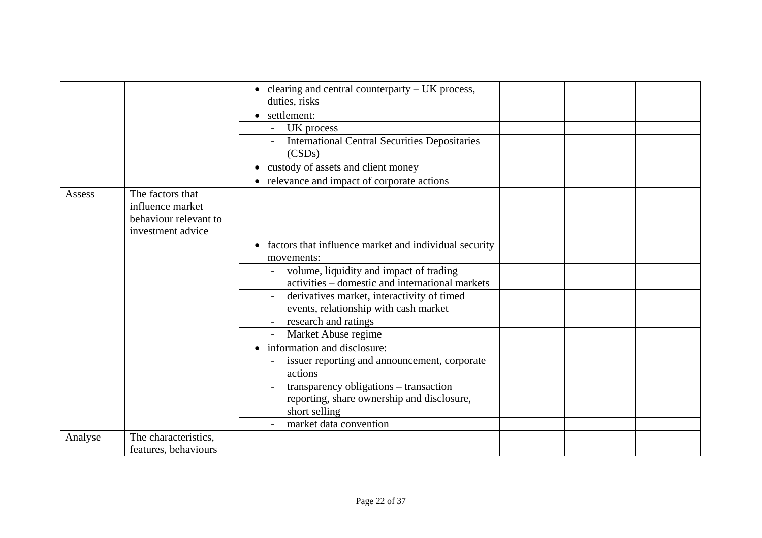|         |                                                                                    | $\bullet$ clearing and central counterparty – UK process,                                             |  |  |
|---------|------------------------------------------------------------------------------------|-------------------------------------------------------------------------------------------------------|--|--|
|         |                                                                                    | duties, risks                                                                                         |  |  |
|         |                                                                                    | • settlement:                                                                                         |  |  |
|         |                                                                                    | UK process                                                                                            |  |  |
|         |                                                                                    | <b>International Central Securities Depositaries</b><br>(CSDs)                                        |  |  |
|         |                                                                                    | • custody of assets and client money                                                                  |  |  |
|         |                                                                                    | • relevance and impact of corporate actions                                                           |  |  |
| Assess  | The factors that<br>influence market<br>behaviour relevant to<br>investment advice |                                                                                                       |  |  |
|         |                                                                                    | • factors that influence market and individual security<br>movements:                                 |  |  |
|         |                                                                                    | volume, liquidity and impact of trading<br>activities - domestic and international markets            |  |  |
|         |                                                                                    | derivatives market, interactivity of timed<br>events, relationship with cash market                   |  |  |
|         |                                                                                    | research and ratings                                                                                  |  |  |
|         |                                                                                    | Market Abuse regime                                                                                   |  |  |
|         |                                                                                    | • information and disclosure:                                                                         |  |  |
|         |                                                                                    | issuer reporting and announcement, corporate<br>actions                                               |  |  |
|         |                                                                                    | transparency obligations - transaction<br>reporting, share ownership and disclosure,<br>short selling |  |  |
|         |                                                                                    | market data convention                                                                                |  |  |
| Analyse | The characteristics,                                                               |                                                                                                       |  |  |
|         | features, behaviours                                                               |                                                                                                       |  |  |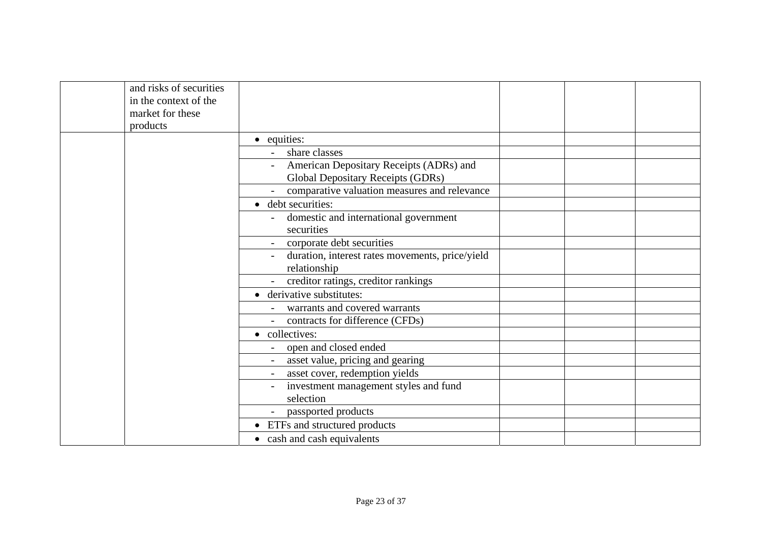| and risks of securities |                                                 |  |  |
|-------------------------|-------------------------------------------------|--|--|
| in the context of the   |                                                 |  |  |
| market for these        |                                                 |  |  |
| products                |                                                 |  |  |
|                         | • equities:                                     |  |  |
|                         | share classes                                   |  |  |
|                         | American Depositary Receipts (ADRs) and         |  |  |
|                         | <b>Global Depositary Receipts (GDRs)</b>        |  |  |
|                         | comparative valuation measures and relevance    |  |  |
|                         | • debt securities:                              |  |  |
|                         | domestic and international government           |  |  |
|                         | securities                                      |  |  |
|                         | corporate debt securities                       |  |  |
|                         | duration, interest rates movements, price/yield |  |  |
|                         | relationship                                    |  |  |
|                         | - creditor ratings, creditor rankings           |  |  |
|                         | • derivative substitutes:                       |  |  |
|                         | warrants and covered warrants                   |  |  |
|                         | contracts for difference (CFDs)                 |  |  |
|                         | • collectives:                                  |  |  |
|                         | open and closed ended                           |  |  |
|                         | asset value, pricing and gearing                |  |  |
|                         | asset cover, redemption yields                  |  |  |
|                         | investment management styles and fund           |  |  |
|                         | selection                                       |  |  |
|                         | passported products                             |  |  |
|                         | • ETFs and structured products                  |  |  |
|                         | • cash and cash equivalents                     |  |  |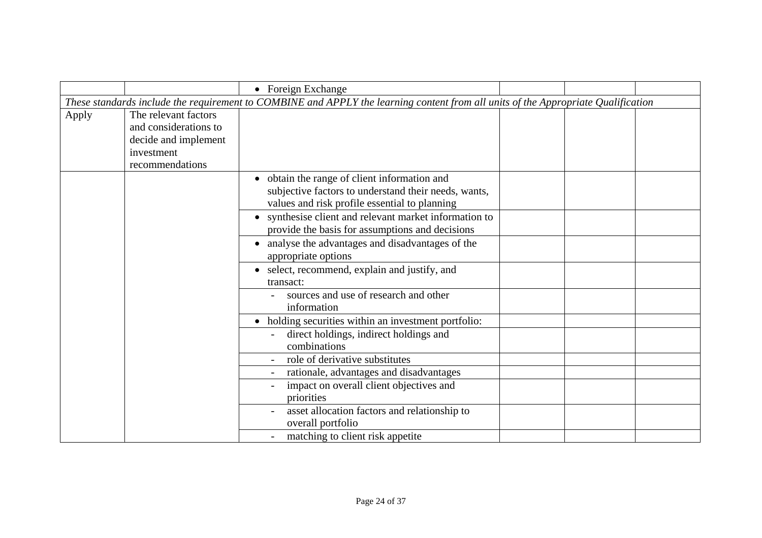|       |                                                                                                        | • Foreign Exchange                                                                                                                                                                                              |  |  |
|-------|--------------------------------------------------------------------------------------------------------|-----------------------------------------------------------------------------------------------------------------------------------------------------------------------------------------------------------------|--|--|
|       |                                                                                                        | These standards include the requirement to COMBINE and APPLY the learning content from all units of the Appropriate Qualification                                                                               |  |  |
| Apply | The relevant factors<br>and considerations to<br>decide and implement<br>investment<br>recommendations |                                                                                                                                                                                                                 |  |  |
|       |                                                                                                        | • obtain the range of client information and<br>subjective factors to understand their needs, wants,<br>values and risk profile essential to planning<br>• synthesise client and relevant market information to |  |  |
|       |                                                                                                        | provide the basis for assumptions and decisions                                                                                                                                                                 |  |  |
|       |                                                                                                        | • analyse the advantages and disadvantages of the<br>appropriate options                                                                                                                                        |  |  |
|       |                                                                                                        | • select, recommend, explain and justify, and<br>transact:                                                                                                                                                      |  |  |
|       |                                                                                                        | sources and use of research and other<br>information                                                                                                                                                            |  |  |
|       |                                                                                                        | • holding securities within an investment portfolio:                                                                                                                                                            |  |  |
|       |                                                                                                        | direct holdings, indirect holdings and<br>combinations                                                                                                                                                          |  |  |
|       |                                                                                                        | role of derivative substitutes                                                                                                                                                                                  |  |  |
|       |                                                                                                        | rationale, advantages and disadvantages                                                                                                                                                                         |  |  |
|       |                                                                                                        | impact on overall client objectives and<br>priorities                                                                                                                                                           |  |  |
|       |                                                                                                        | asset allocation factors and relationship to<br>overall portfolio                                                                                                                                               |  |  |
|       |                                                                                                        | matching to client risk appetite                                                                                                                                                                                |  |  |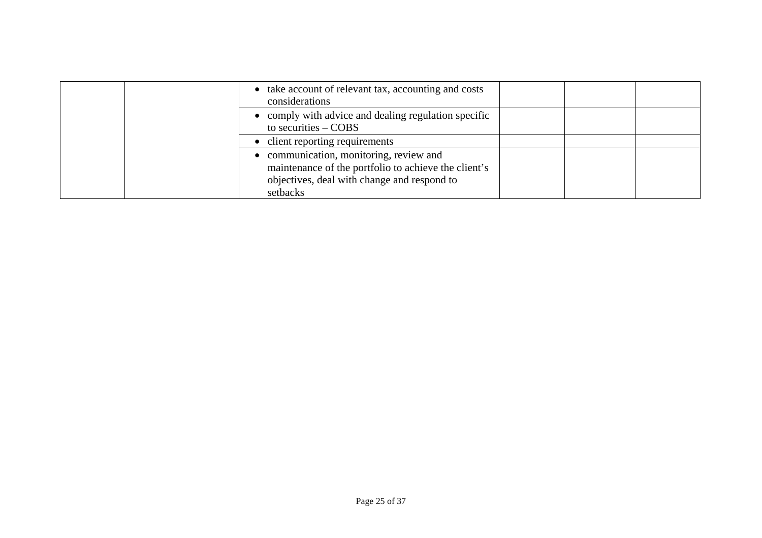| • take account of relevant tax, accounting and costs<br>considerations                                                                                     |  |  |
|------------------------------------------------------------------------------------------------------------------------------------------------------------|--|--|
| • comply with advice and dealing regulation specific<br>to securities $-$ COBS                                                                             |  |  |
| • client reporting requirements                                                                                                                            |  |  |
| • communication, monitoring, review and<br>maintenance of the portfolio to achieve the client's<br>objectives, deal with change and respond to<br>setbacks |  |  |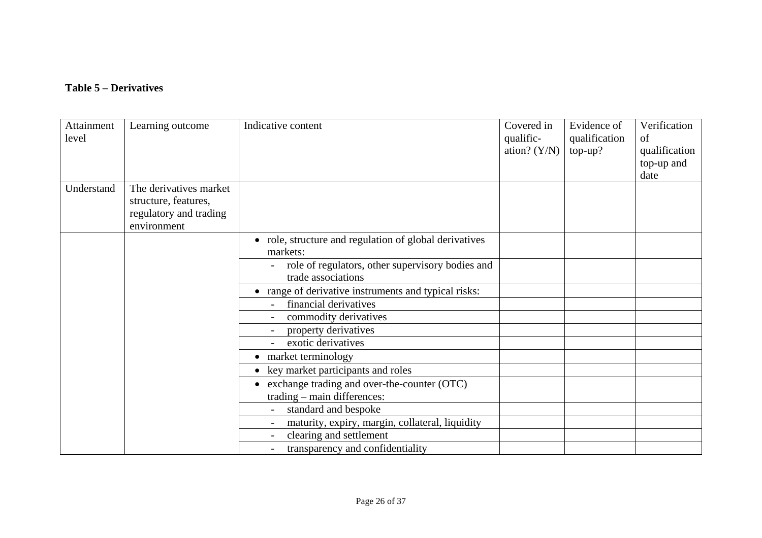### **Table 5 – Derivatives**

| Attainment<br>level | Learning outcome                                                                        | Indicative content                                                            | Covered in<br>qualific-<br>ation? $(Y/N)$ | Evidence of<br>qualification<br>$top-up?$ | Verification<br>of<br>qualification<br>top-up and<br>date |
|---------------------|-----------------------------------------------------------------------------------------|-------------------------------------------------------------------------------|-------------------------------------------|-------------------------------------------|-----------------------------------------------------------|
| Understand          | The derivatives market<br>structure, features,<br>regulatory and trading<br>environment |                                                                               |                                           |                                           |                                                           |
|                     |                                                                                         | • role, structure and regulation of global derivatives<br>markets:            |                                           |                                           |                                                           |
|                     |                                                                                         | role of regulators, other supervisory bodies and<br>trade associations        |                                           |                                           |                                                           |
|                     |                                                                                         | • range of derivative instruments and typical risks:<br>financial derivatives |                                           |                                           |                                                           |
|                     |                                                                                         | commodity derivatives                                                         |                                           |                                           |                                                           |
|                     |                                                                                         | property derivatives                                                          |                                           |                                           |                                                           |
|                     |                                                                                         | exotic derivatives                                                            |                                           |                                           |                                                           |
|                     |                                                                                         | market terminology                                                            |                                           |                                           |                                                           |
|                     |                                                                                         | key market participants and roles                                             |                                           |                                           |                                                           |
|                     |                                                                                         | exchange trading and over-the-counter (OTC)<br>trading – main differences:    |                                           |                                           |                                                           |
|                     |                                                                                         | standard and bespoke                                                          |                                           |                                           |                                                           |
|                     |                                                                                         | maturity, expiry, margin, collateral, liquidity                               |                                           |                                           |                                                           |
|                     |                                                                                         | clearing and settlement                                                       |                                           |                                           |                                                           |
|                     |                                                                                         | transparency and confidentiality                                              |                                           |                                           |                                                           |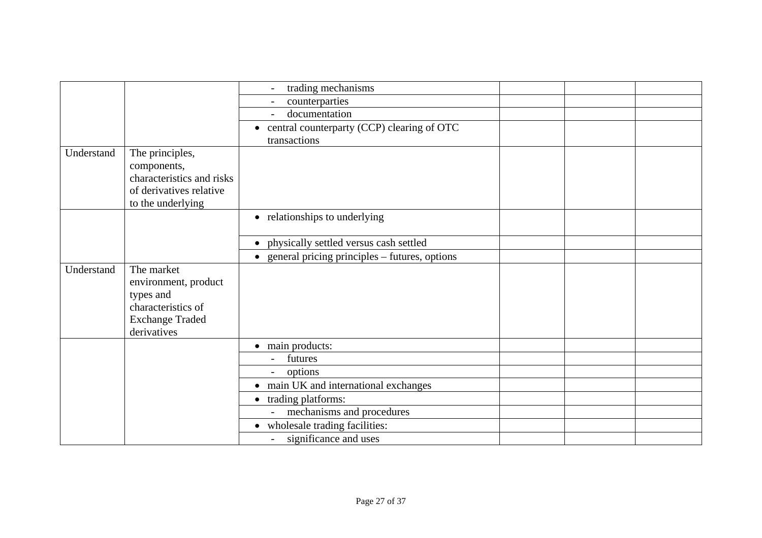|            |                           | trading mechanisms                                      |  |  |
|------------|---------------------------|---------------------------------------------------------|--|--|
|            |                           | counterparties                                          |  |  |
|            |                           | documentation                                           |  |  |
|            |                           | • central counterparty (CCP) clearing of OTC            |  |  |
|            |                           | transactions                                            |  |  |
| Understand | The principles,           |                                                         |  |  |
|            | components,               |                                                         |  |  |
|            | characteristics and risks |                                                         |  |  |
|            | of derivatives relative   |                                                         |  |  |
|            | to the underlying         |                                                         |  |  |
|            |                           | • relationships to underlying                           |  |  |
|            |                           |                                                         |  |  |
|            |                           | physically settled versus cash settled<br>$\bullet$     |  |  |
|            |                           | $\bullet$ general pricing principles – futures, options |  |  |
| Understand | The market                |                                                         |  |  |
|            | environment, product      |                                                         |  |  |
|            | types and                 |                                                         |  |  |
|            | characteristics of        |                                                         |  |  |
|            | <b>Exchange Traded</b>    |                                                         |  |  |
|            | derivatives               |                                                         |  |  |
|            |                           | • main products:                                        |  |  |
|            |                           | futures                                                 |  |  |
|            |                           | options                                                 |  |  |
|            |                           | • main UK and international exchanges                   |  |  |
|            |                           | trading platforms:<br>$\bullet$                         |  |  |
|            |                           | mechanisms and procedures                               |  |  |
|            |                           | • wholesale trading facilities:                         |  |  |
|            |                           | significance and uses<br>$\overline{a}$                 |  |  |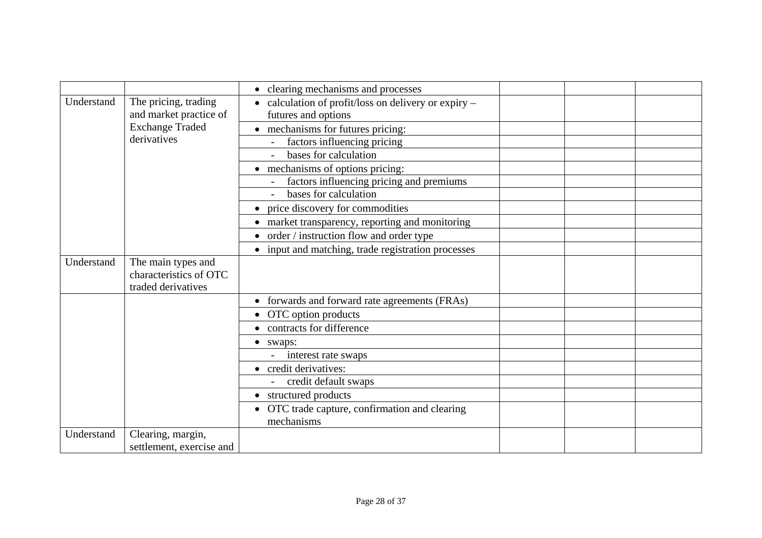|            |                                                                    | • clearing mechanisms and processes                                                    |  |
|------------|--------------------------------------------------------------------|----------------------------------------------------------------------------------------|--|
| Understand | The pricing, trading<br>and market practice of                     | calculation of profit/loss on delivery or expiry -<br>$\bullet$<br>futures and options |  |
|            | <b>Exchange Traded</b>                                             | • mechanisms for futures pricing:                                                      |  |
|            | derivatives                                                        | factors influencing pricing                                                            |  |
|            |                                                                    | bases for calculation                                                                  |  |
|            |                                                                    | • mechanisms of options pricing:                                                       |  |
|            |                                                                    | factors influencing pricing and premiums                                               |  |
|            |                                                                    | bases for calculation                                                                  |  |
|            |                                                                    | price discovery for commodities                                                        |  |
|            |                                                                    | • market transparency, reporting and monitoring                                        |  |
|            |                                                                    | order / instruction flow and order type                                                |  |
|            |                                                                    | • input and matching, trade registration processes                                     |  |
| Understand | The main types and<br>characteristics of OTC<br>traded derivatives |                                                                                        |  |
|            |                                                                    | forwards and forward rate agreements (FRAs)                                            |  |
|            |                                                                    | • OTC option products                                                                  |  |
|            |                                                                    | • contracts for difference                                                             |  |
|            |                                                                    | • swaps:                                                                               |  |
|            |                                                                    | interest rate swaps                                                                    |  |
|            |                                                                    | • credit derivatives:                                                                  |  |
|            |                                                                    | credit default swaps                                                                   |  |
|            |                                                                    | structured products                                                                    |  |
|            |                                                                    | OTC trade capture, confirmation and clearing<br>mechanisms                             |  |
| Understand | Clearing, margin,<br>settlement, exercise and                      |                                                                                        |  |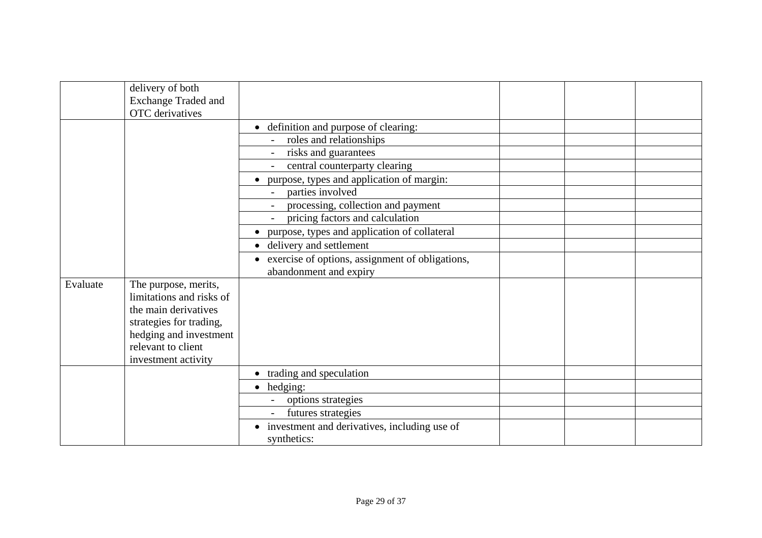|          | delivery of both<br><b>Exchange Traded and</b> |                                                              |  |
|----------|------------------------------------------------|--------------------------------------------------------------|--|
|          | <b>OTC</b> derivatives                         |                                                              |  |
|          |                                                | • definition and purpose of clearing:                        |  |
|          |                                                | roles and relationships                                      |  |
|          |                                                | risks and guarantees                                         |  |
|          |                                                | central counterparty clearing                                |  |
|          |                                                | purpose, types and application of margin:<br>$\bullet$       |  |
|          |                                                | parties involved                                             |  |
|          |                                                | processing, collection and payment                           |  |
|          |                                                | pricing factors and calculation<br>$\sim$                    |  |
|          |                                                | purpose, types and application of collateral                 |  |
|          |                                                | • delivery and settlement                                    |  |
|          |                                                | exercise of options, assignment of obligations,<br>$\bullet$ |  |
|          |                                                | abandonment and expiry                                       |  |
| Evaluate | The purpose, merits,                           |                                                              |  |
|          | limitations and risks of                       |                                                              |  |
|          | the main derivatives                           |                                                              |  |
|          | strategies for trading,                        |                                                              |  |
|          | hedging and investment                         |                                                              |  |
|          | relevant to client                             |                                                              |  |
|          | investment activity                            |                                                              |  |
|          |                                                | • trading and speculation                                    |  |
|          |                                                | hedging:<br>$\bullet$                                        |  |
|          |                                                | options strategies                                           |  |
|          |                                                | futures strategies                                           |  |
|          |                                                | • investment and derivatives, including use of               |  |
|          |                                                | synthetics:                                                  |  |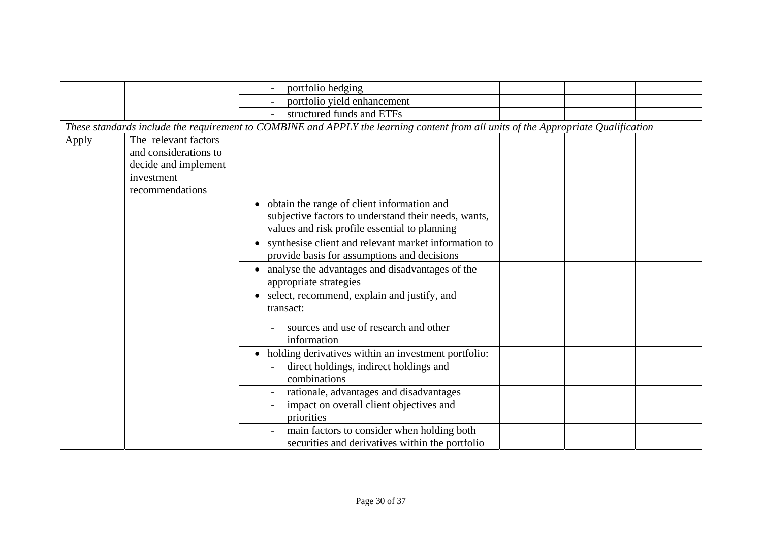|       |                                                                                                        | portfolio hedging                                                                                                                                     |  |  |
|-------|--------------------------------------------------------------------------------------------------------|-------------------------------------------------------------------------------------------------------------------------------------------------------|--|--|
|       |                                                                                                        | portfolio yield enhancement                                                                                                                           |  |  |
|       |                                                                                                        | structured funds and ETFs                                                                                                                             |  |  |
|       |                                                                                                        | These standards include the requirement to COMBINE and APPLY the learning content from all units of the Appropriate Qualification                     |  |  |
| Apply | The relevant factors<br>and considerations to<br>decide and implement<br>investment<br>recommendations |                                                                                                                                                       |  |  |
|       |                                                                                                        | • obtain the range of client information and<br>subjective factors to understand their needs, wants,<br>values and risk profile essential to planning |  |  |
|       |                                                                                                        | • synthesise client and relevant market information to<br>provide basis for assumptions and decisions                                                 |  |  |
|       |                                                                                                        | • analyse the advantages and disadvantages of the<br>appropriate strategies                                                                           |  |  |
|       |                                                                                                        | • select, recommend, explain and justify, and<br>transact:                                                                                            |  |  |
|       |                                                                                                        | sources and use of research and other<br>information                                                                                                  |  |  |
|       |                                                                                                        | • holding derivatives within an investment portfolio:                                                                                                 |  |  |
|       |                                                                                                        | direct holdings, indirect holdings and<br>combinations                                                                                                |  |  |
|       |                                                                                                        | rationale, advantages and disadvantages                                                                                                               |  |  |
|       |                                                                                                        | impact on overall client objectives and<br>priorities                                                                                                 |  |  |
|       |                                                                                                        | main factors to consider when holding both<br>securities and derivatives within the portfolio                                                         |  |  |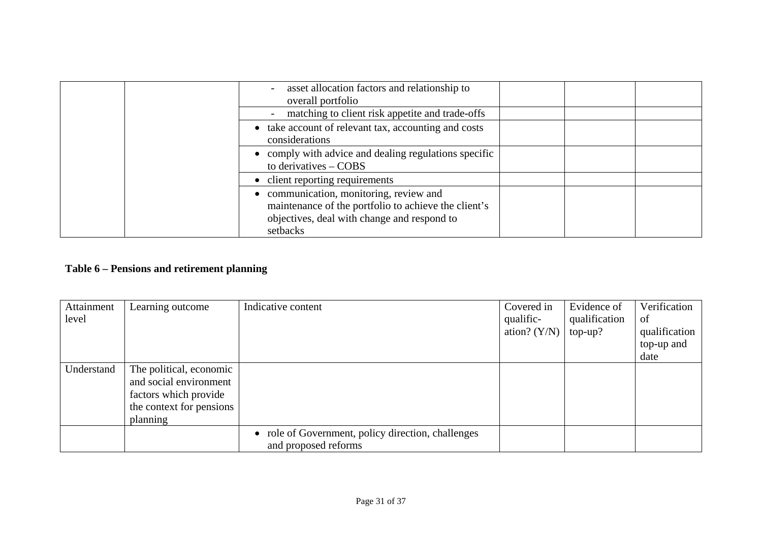| asset allocation factors and relationship to<br>overall portfolio                                                                                        |  |  |
|----------------------------------------------------------------------------------------------------------------------------------------------------------|--|--|
| matching to client risk appetite and trade-offs                                                                                                          |  |  |
| • take account of relevant tax, accounting and costs<br>considerations                                                                                   |  |  |
| • comply with advice and dealing regulations specific<br>to derivatives $-$ COBS                                                                         |  |  |
| • client reporting requirements                                                                                                                          |  |  |
| communication, monitoring, review and<br>maintenance of the portfolio to achieve the client's<br>objectives, deal with change and respond to<br>setbacks |  |  |

## **Table 6 – Pensions and retirement planning**

| Attainment | Learning outcome         | Indicative content                                 | Covered in     | Evidence of   | Verification  |
|------------|--------------------------|----------------------------------------------------|----------------|---------------|---------------|
| level      |                          |                                                    | qualific-      | qualification | of            |
|            |                          |                                                    | ation? $(Y/N)$ | $top-up?$     | qualification |
|            |                          |                                                    |                |               | top-up and    |
|            |                          |                                                    |                |               | date          |
| Understand | The political, economic  |                                                    |                |               |               |
|            | and social environment   |                                                    |                |               |               |
|            | factors which provide    |                                                    |                |               |               |
|            | the context for pensions |                                                    |                |               |               |
|            | planning                 |                                                    |                |               |               |
|            |                          | • role of Government, policy direction, challenges |                |               |               |
|            |                          | and proposed reforms                               |                |               |               |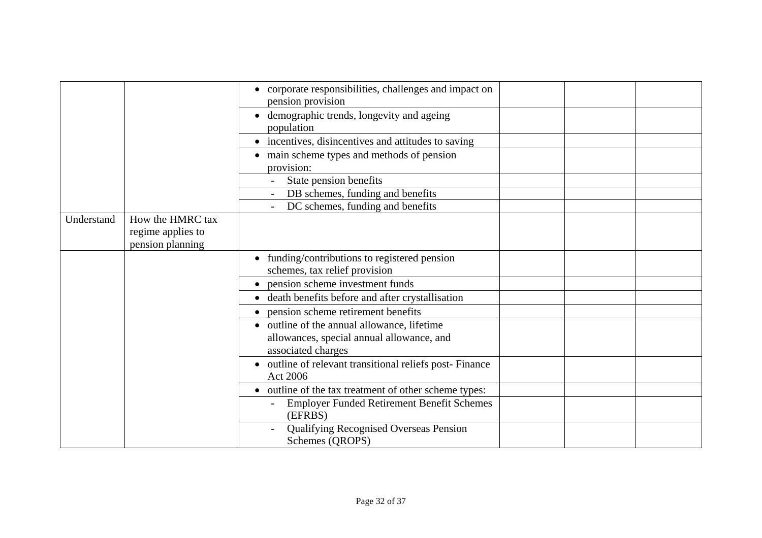|            |                                                           | • corporate responsibilities, challenges and impact on<br>pension provision                                    |  |  |
|------------|-----------------------------------------------------------|----------------------------------------------------------------------------------------------------------------|--|--|
|            |                                                           | demographic trends, longevity and ageing<br>population                                                         |  |  |
|            |                                                           | • incentives, disincentives and attitudes to saving                                                            |  |  |
|            |                                                           | • main scheme types and methods of pension<br>provision:                                                       |  |  |
|            |                                                           | State pension benefits                                                                                         |  |  |
|            |                                                           | DB schemes, funding and benefits                                                                               |  |  |
|            |                                                           | DC schemes, funding and benefits                                                                               |  |  |
| Understand | How the HMRC tax<br>regime applies to<br>pension planning |                                                                                                                |  |  |
|            |                                                           | • funding/contributions to registered pension<br>schemes, tax relief provision                                 |  |  |
|            |                                                           | pension scheme investment funds                                                                                |  |  |
|            |                                                           | • death benefits before and after crystallisation                                                              |  |  |
|            |                                                           | pension scheme retirement benefits                                                                             |  |  |
|            |                                                           | • outline of the annual allowance, lifetime<br>allowances, special annual allowance, and<br>associated charges |  |  |
|            |                                                           | • outline of relevant transitional reliefs post-Finance<br>Act 2006                                            |  |  |
|            |                                                           | • outline of the tax treatment of other scheme types:                                                          |  |  |
|            |                                                           | <b>Employer Funded Retirement Benefit Schemes</b><br>(EFRBS)                                                   |  |  |
|            |                                                           | <b>Qualifying Recognised Overseas Pension</b><br>Schemes (QROPS)                                               |  |  |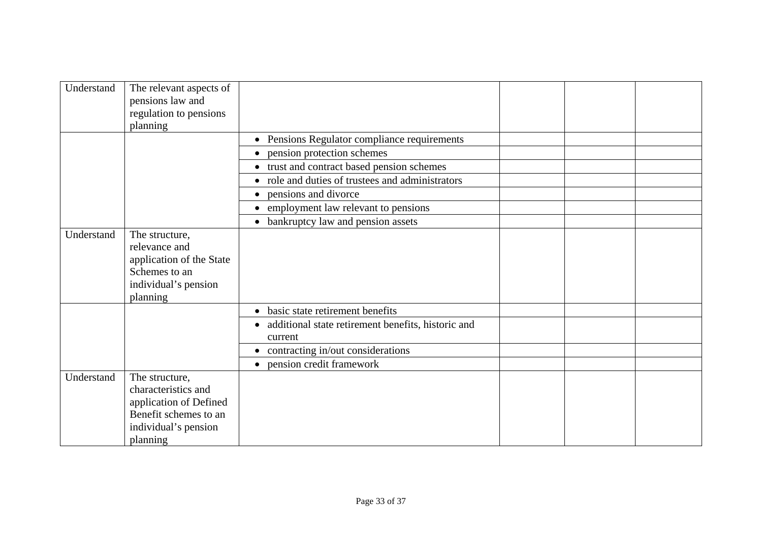| Understand | The relevant aspects of<br>pensions law and<br>regulation to pensions<br>planning                                            |                                                               |  |
|------------|------------------------------------------------------------------------------------------------------------------------------|---------------------------------------------------------------|--|
|            |                                                                                                                              | Pensions Regulator compliance requirements                    |  |
|            |                                                                                                                              | pension protection schemes                                    |  |
|            |                                                                                                                              | • trust and contract based pension schemes                    |  |
|            |                                                                                                                              | • role and duties of trustees and administrators              |  |
|            |                                                                                                                              | pensions and divorce                                          |  |
|            |                                                                                                                              | employment law relevant to pensions                           |  |
|            |                                                                                                                              | bankruptcy law and pension assets<br>$\bullet$                |  |
| Understand | The structure,<br>relevance and<br>application of the State<br>Schemes to an<br>individual's pension<br>planning             |                                                               |  |
|            |                                                                                                                              | basic state retirement benefits                               |  |
|            |                                                                                                                              | additional state retirement benefits, historic and<br>current |  |
|            |                                                                                                                              | • contracting in/out considerations                           |  |
|            |                                                                                                                              | pension credit framework                                      |  |
| Understand | The structure,<br>characteristics and<br>application of Defined<br>Benefit schemes to an<br>individual's pension<br>planning |                                                               |  |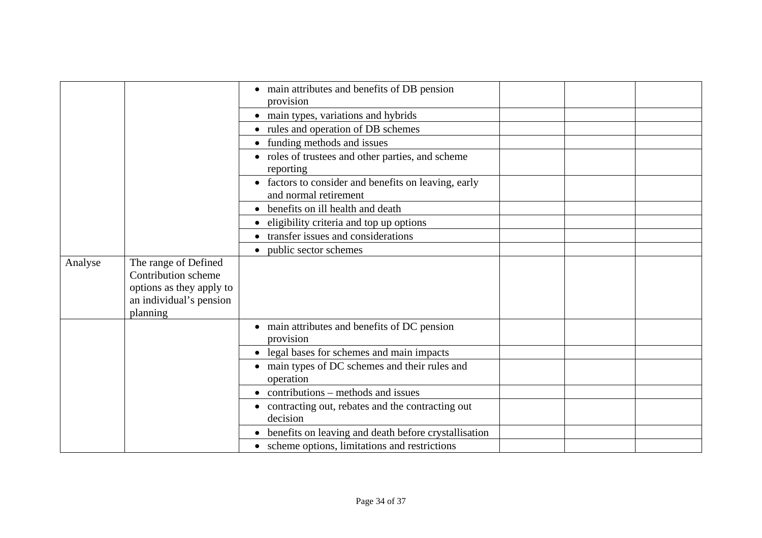|         |                          | • main attributes and benefits of DB pension                |  |  |
|---------|--------------------------|-------------------------------------------------------------|--|--|
|         |                          | provision                                                   |  |  |
|         |                          | • main types, variations and hybrids                        |  |  |
|         |                          | • rules and operation of DB schemes                         |  |  |
|         |                          | • funding methods and issues                                |  |  |
|         |                          | • roles of trustees and other parties, and scheme           |  |  |
|         |                          | reporting                                                   |  |  |
|         |                          | • factors to consider and benefits on leaving, early        |  |  |
|         |                          | and normal retirement                                       |  |  |
|         |                          | • benefits on ill health and death                          |  |  |
|         |                          | • eligibility criteria and top up options                   |  |  |
|         |                          | • transfer issues and considerations                        |  |  |
|         |                          | public sector schemes<br>$\bullet$                          |  |  |
| Analyse | The range of Defined     |                                                             |  |  |
|         | Contribution scheme      |                                                             |  |  |
|         | options as they apply to |                                                             |  |  |
|         | an individual's pension  |                                                             |  |  |
|         | planning                 |                                                             |  |  |
|         |                          | • main attributes and benefits of DC pension                |  |  |
|         |                          | provision                                                   |  |  |
|         |                          | • legal bases for schemes and main impacts                  |  |  |
|         |                          | • main types of DC schemes and their rules and<br>operation |  |  |
|         |                          | $\bullet$ contributions – methods and issues                |  |  |
|         |                          | • contracting out, rebates and the contracting out          |  |  |
|         |                          | decision                                                    |  |  |
|         |                          | • benefits on leaving and death before crystallisation      |  |  |
|         |                          | • scheme options, limitations and restrictions              |  |  |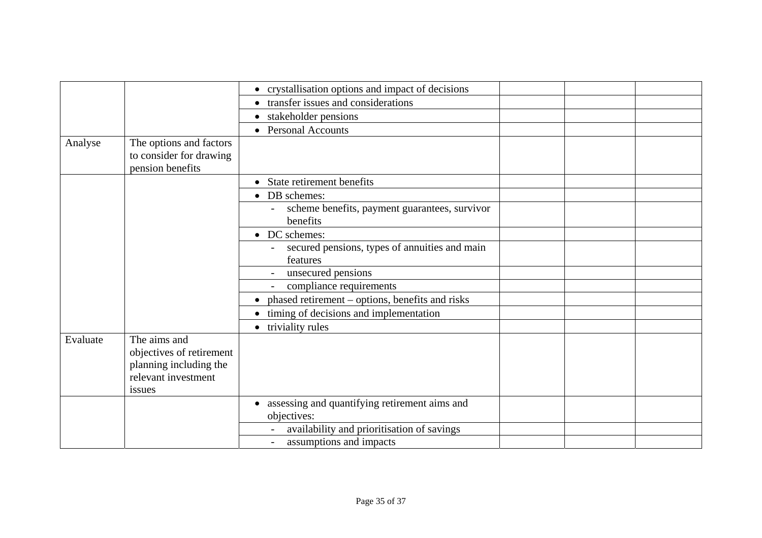|                                                                                     | • crystallisation options and impact of decisions                         |  |  |
|-------------------------------------------------------------------------------------|---------------------------------------------------------------------------|--|--|
|                                                                                     | • transfer issues and considerations                                      |  |  |
|                                                                                     | • stakeholder pensions                                                    |  |  |
|                                                                                     | • Personal Accounts                                                       |  |  |
| The options and factors<br>to consider for drawing<br>pension benefits              |                                                                           |  |  |
|                                                                                     | • State retirement benefits                                               |  |  |
|                                                                                     | • DB schemes:                                                             |  |  |
|                                                                                     | scheme benefits, payment guarantees, survivor<br>benefits                 |  |  |
|                                                                                     | • DC schemes:                                                             |  |  |
|                                                                                     | secured pensions, types of annuities and main<br>features                 |  |  |
|                                                                                     | unsecured pensions                                                        |  |  |
|                                                                                     | compliance requirements                                                   |  |  |
|                                                                                     | phased retirement - options, benefits and risks                           |  |  |
|                                                                                     | timing of decisions and implementation                                    |  |  |
|                                                                                     | triviality rules                                                          |  |  |
| objectives of retirement<br>planning including the<br>relevant investment<br>issues |                                                                           |  |  |
|                                                                                     | assessing and quantifying retirement aims and<br>$\bullet$<br>objectives: |  |  |
|                                                                                     | availability and prioritisation of savings                                |  |  |
|                                                                                     | assumptions and impacts                                                   |  |  |
|                                                                                     | The aims and                                                              |  |  |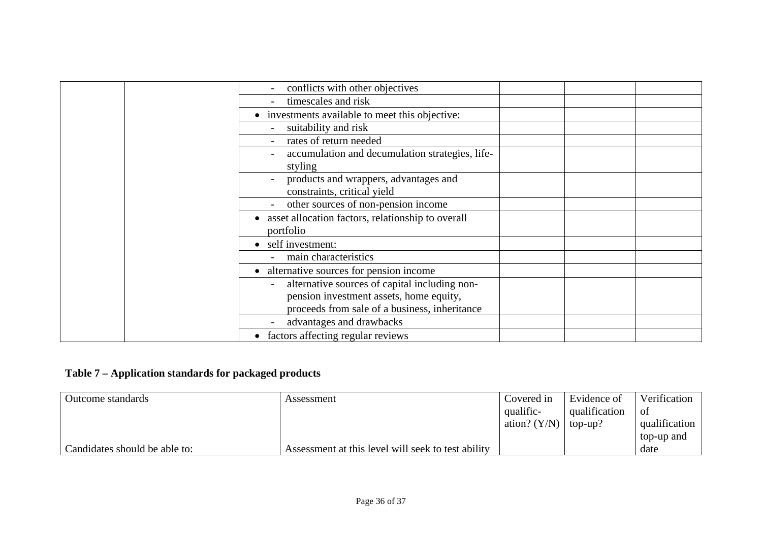| conflicts with other objectives                     |  |  |
|-----------------------------------------------------|--|--|
| timescales and risk                                 |  |  |
| • investments available to meet this objective:     |  |  |
| suitability and risk                                |  |  |
| rates of return needed                              |  |  |
| accumulation and decumulation strategies, life-     |  |  |
| styling                                             |  |  |
| products and wrappers, advantages and               |  |  |
| constraints, critical yield                         |  |  |
| other sources of non-pension income                 |  |  |
| • asset allocation factors, relationship to overall |  |  |
| portfolio                                           |  |  |
| • self investment:                                  |  |  |
| main characteristics                                |  |  |
| • alternative sources for pension income            |  |  |
| alternative sources of capital including non-       |  |  |
| pension investment assets, home equity,             |  |  |
| proceeds from sale of a business, inheritance       |  |  |
| advantages and drawbacks                            |  |  |
| • factors affecting regular reviews                 |  |  |

## **Table 7 – Application standards for packaged products**

| Outcome standards             | Assessment                                         | Covered in     | Evidence of   | Verification  |
|-------------------------------|----------------------------------------------------|----------------|---------------|---------------|
|                               |                                                    | qualific-      | qualification | 0t            |
|                               |                                                    | ation? $(Y/N)$ | top-up?       | qualification |
|                               |                                                    |                |               | top-up and    |
| Candidates should be able to: | Assessment at this level will seek to test ability |                |               | date          |